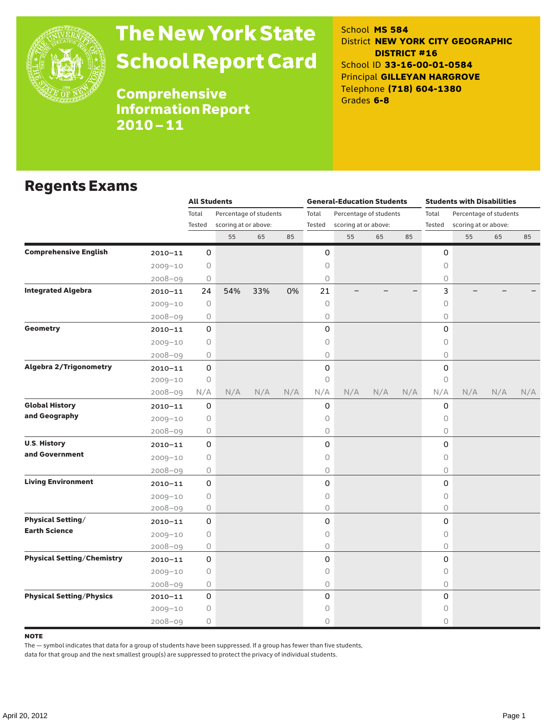

# The New York State School Report Card

School **MS 584** District **NEW YORK CITY GEOGRAPHIC DISTRICT #16** School ID **33-16-00-01-0584** Principal **GILLEYAN HARGROVE** Telephone **(718) 604-1380** Grades **6-8**

Comprehensive Information Report 2010–11

### Regents Exams

|                                   |             | <b>All Students</b> |                                                |     |     |                 | <b>General-Education Students</b> |     |     | <b>Students with Disabilities</b> |                        |     |     |  |
|-----------------------------------|-------------|---------------------|------------------------------------------------|-----|-----|-----------------|-----------------------------------|-----|-----|-----------------------------------|------------------------|-----|-----|--|
|                                   |             | Total               | Percentage of students<br>scoring at or above: |     |     | Total<br>Tested | Percentage of students            |     |     | Total<br>Tested                   | Percentage of students |     |     |  |
|                                   |             | Tested              |                                                |     |     |                 | scoring at or above:              |     |     |                                   | scoring at or above:   |     |     |  |
|                                   |             |                     | 55                                             | 65  | 85  |                 | 55                                | 65  | 85  |                                   | 55                     | 65  | 85  |  |
| <b>Comprehensive English</b>      | $2010 - 11$ | 0                   |                                                |     |     | 0               |                                   |     |     | 0                                 |                        |     |     |  |
|                                   | $2009 - 10$ | $\bigcirc$          |                                                |     |     | 0               |                                   |     |     | 0                                 |                        |     |     |  |
|                                   | $2008 - 09$ | 0                   |                                                |     |     | 0               |                                   |     |     | 0                                 |                        |     |     |  |
| <b>Integrated Algebra</b>         | $2010 - 11$ | 24                  | 54%                                            | 33% | 0%  | 21              |                                   |     |     | 3                                 |                        |     |     |  |
|                                   | $2009 - 10$ | 0                   |                                                |     |     | 0               |                                   |     |     | $\circ$                           |                        |     |     |  |
|                                   | 2008-09     | $\bigcirc$          |                                                |     |     | 0               |                                   |     |     | $\bigcirc$                        |                        |     |     |  |
| <b>Geometry</b>                   | $2010 - 11$ | 0                   |                                                |     |     | 0               |                                   |     |     | 0                                 |                        |     |     |  |
|                                   | $2009 - 10$ | 0                   |                                                |     |     | 0               |                                   |     |     | $\bigcirc$                        |                        |     |     |  |
|                                   | $2008 - 09$ | 0                   |                                                |     |     | 0               |                                   |     |     | 0                                 |                        |     |     |  |
| <b>Algebra 2/Trigonometry</b>     | $2010 - 11$ | 0                   |                                                |     |     | 0               |                                   |     |     | $\mathsf{O}$                      |                        |     |     |  |
|                                   | $2009 - 10$ | $\circ$             |                                                |     |     | 0               |                                   |     |     | $\circ$                           |                        |     |     |  |
|                                   | $2008 - 09$ | N/A                 | N/A                                            | N/A | N/A | N/A             | N/A                               | N/A | N/A | N/A                               | N/A                    | N/A | N/A |  |
| <b>Global History</b>             | $2010 - 11$ | 0                   |                                                |     |     | 0               |                                   |     |     | 0                                 |                        |     |     |  |
| and Geography                     | $2009 - 10$ | 0                   |                                                |     |     | 0               |                                   |     |     | $\circ$                           |                        |     |     |  |
|                                   | $2008 - 09$ | 0                   |                                                |     |     | 0               |                                   |     |     | 0                                 |                        |     |     |  |
| <b>U.S. History</b>               | $2010 - 11$ | 0                   |                                                |     |     | 0               |                                   |     |     | $\mathsf{O}$                      |                        |     |     |  |
| and Government                    | $2009 - 10$ | $\bigcirc$          |                                                |     |     | 0               |                                   |     |     | $\bigcirc$                        |                        |     |     |  |
|                                   | $2008 - 09$ | 0                   |                                                |     |     | 0               |                                   |     |     | 0                                 |                        |     |     |  |
| <b>Living Environment</b>         | $2010 - 11$ | 0                   |                                                |     |     | 0               |                                   |     |     | 0                                 |                        |     |     |  |
|                                   | $2009 - 10$ | $\circ$             |                                                |     |     | 0               |                                   |     |     | $\circ$                           |                        |     |     |  |
|                                   | $2008 - 09$ | 0                   |                                                |     |     | 0               |                                   |     |     | $\bigcirc$                        |                        |     |     |  |
| <b>Physical Setting/</b>          | $2010 - 11$ | 0                   |                                                |     |     | 0               |                                   |     |     | 0                                 |                        |     |     |  |
| <b>Earth Science</b>              | $2009 - 10$ | 0                   |                                                |     |     | 0               |                                   |     |     | 0                                 |                        |     |     |  |
|                                   | $2008 - 09$ | 0                   |                                                |     |     | 0               |                                   |     |     | 0                                 |                        |     |     |  |
| <b>Physical Setting/Chemistry</b> | $2010 - 11$ | 0                   |                                                |     |     | 0               |                                   |     |     | 0                                 |                        |     |     |  |
|                                   | $2009 - 10$ | 0                   |                                                |     |     | 0               |                                   |     |     | $\circ$                           |                        |     |     |  |
|                                   | $2008 - 09$ | 0                   |                                                |     |     | 0               |                                   |     |     | $\circ$                           |                        |     |     |  |
| <b>Physical Setting/Physics</b>   | $2010 - 11$ | 0                   |                                                |     |     | 0               |                                   |     |     | 0                                 |                        |     |     |  |
|                                   | $2009 - 10$ | 0                   |                                                |     |     | 0               |                                   |     |     | 0                                 |                        |     |     |  |
|                                   | $2008 - 09$ | 0                   |                                                |     |     | 0               |                                   |     |     | $\circ$                           |                        |     |     |  |

#### **NOTE**

The — symbol indicates that data for a group of students have been suppressed. If a group has fewer than five students,

data for that group and the next smallest group(s) are suppressed to protect the privacy of individual students.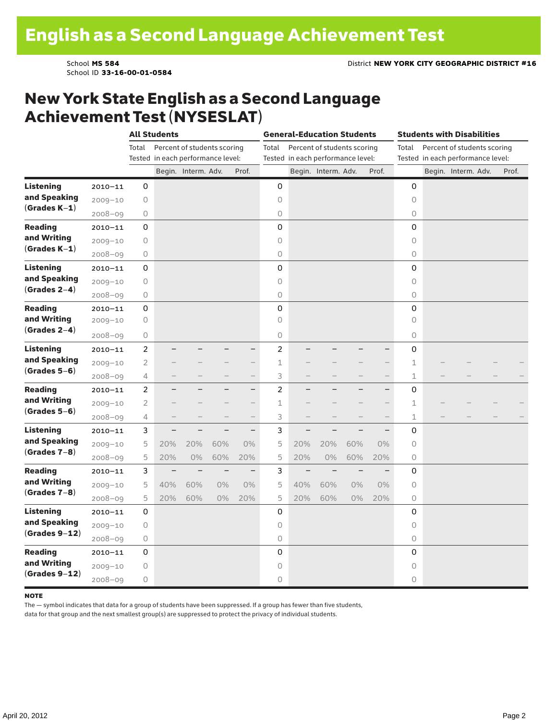School ID **33-16-00-01-0584**

### New York State English as a Second Language Achievement Test (NYSESLAT)

|                                                     |             |                | <b>All Students</b>               |                          |                          |                          | <b>General-Education Students</b> |                   |                                   |       |                                      |             | <b>Students with Disabilities</b> |                     |  |       |  |  |
|-----------------------------------------------------|-------------|----------------|-----------------------------------|--------------------------|--------------------------|--------------------------|-----------------------------------|-------------------|-----------------------------------|-------|--------------------------------------|-------------|-----------------------------------|---------------------|--|-------|--|--|
|                                                     |             | Total          | Percent of students scoring       |                          |                          |                          |                                   |                   | Percent of students scoring       |       | Percent of students scoring<br>Total |             |                                   |                     |  |       |  |  |
|                                                     |             |                | Tested in each performance level: |                          |                          |                          |                                   |                   | Tested in each performance level: |       | Tested in each performance level:    |             |                                   |                     |  |       |  |  |
|                                                     |             |                |                                   | Begin. Interm. Adv.      |                          | Prof.                    |                                   |                   | Begin. Interm. Adv.               |       | Prof.                                |             |                                   | Begin. Interm. Adv. |  | Prof. |  |  |
| <b>Listening</b>                                    | $2010 - 11$ | 0              |                                   |                          |                          |                          | $\mathbf 0$                       |                   |                                   |       |                                      | 0           |                                   |                     |  |       |  |  |
| and Speaking<br>$(Grades K-1)$                      | $2009 - 10$ | 0              |                                   |                          |                          |                          | 0                                 |                   |                                   |       |                                      | $\circ$     |                                   |                     |  |       |  |  |
|                                                     | $2008 - 09$ | 0              |                                   |                          |                          |                          | 0                                 |                   |                                   |       |                                      | 0           |                                   |                     |  |       |  |  |
| <b>Reading</b><br>and Writing<br>$(Grades K-1)$     | $2010 - 11$ | 0              |                                   |                          |                          |                          | $\mathbf 0$                       |                   |                                   |       |                                      | 0           |                                   |                     |  |       |  |  |
|                                                     | $2009 - 10$ | 0              |                                   |                          |                          |                          | 0                                 |                   |                                   |       |                                      | 0           |                                   |                     |  |       |  |  |
|                                                     | $2008 - 09$ | 0              |                                   |                          |                          |                          | 0                                 |                   |                                   |       |                                      | 0           |                                   |                     |  |       |  |  |
| Listening                                           | $2010 - 11$ | 0              |                                   |                          |                          |                          | 0                                 |                   |                                   |       |                                      | 0           |                                   |                     |  |       |  |  |
| and Speaking                                        | $2009 - 10$ | 0              |                                   |                          |                          |                          | $\circ$                           |                   |                                   |       |                                      | $\bigcirc$  |                                   |                     |  |       |  |  |
| $(Grades 2-4)$                                      | $2008 - 09$ | 0              |                                   |                          |                          |                          | $\circ$                           |                   |                                   |       |                                      | 0           |                                   |                     |  |       |  |  |
| <b>Reading</b>                                      | $2010 - 11$ | 0              |                                   |                          |                          |                          | 0                                 |                   |                                   |       |                                      | 0           |                                   |                     |  |       |  |  |
| and Writing                                         | $2009 - 10$ | 0              |                                   |                          |                          |                          | $\circ$                           |                   |                                   |       |                                      | $\circ$     |                                   |                     |  |       |  |  |
| $(Grades 2-4)$                                      | $2008 - 09$ | 0              |                                   |                          |                          |                          | 0                                 |                   |                                   |       |                                      | 0           |                                   |                     |  |       |  |  |
| <b>Listening</b>                                    | $2010 - 11$ | $\overline{c}$ |                                   |                          |                          | $\overline{\phantom{0}}$ | $\overline{c}$                    |                   |                                   |       |                                      | 0           |                                   |                     |  |       |  |  |
| and Speaking                                        | $2009 - 10$ | 2              |                                   |                          |                          | $\overline{\phantom{0}}$ | 1                                 |                   |                                   |       | $\overline{\phantom{0}}$             | 1           |                                   |                     |  |       |  |  |
| $(Grades 5-6)$                                      | $2008 - 09$ | 4              |                                   |                          |                          | $\overline{\phantom{0}}$ | 3                                 |                   |                                   |       | $\overline{\phantom{0}}$             | $\mathbf 1$ |                                   |                     |  |       |  |  |
| <b>Reading</b>                                      | $2010 - 11$ | $\overline{c}$ |                                   |                          |                          | $\overline{\phantom{0}}$ | $\overline{c}$                    |                   |                                   |       | $\overline{\phantom{0}}$             | 0           |                                   |                     |  |       |  |  |
| and Writing                                         | $2009 - 10$ | $\overline{2}$ |                                   |                          |                          |                          | $\mathbbm{1}$                     |                   |                                   |       | $\overline{\phantom{0}}$             | 1           |                                   |                     |  |       |  |  |
| $(Grades 5-6)$                                      | $2008 - 09$ | 4              |                                   |                          | $\overline{\phantom{0}}$ | $\qquad \qquad -$        | 3                                 |                   |                                   |       |                                      | 1           |                                   |                     |  |       |  |  |
| <b>Listening</b>                                    | $2010 - 11$ | 3              |                                   |                          |                          | $\overline{\phantom{0}}$ | 3                                 |                   |                                   |       |                                      | 0           |                                   |                     |  |       |  |  |
| and Speaking                                        | $2009 - 10$ | 5              | 20%                               | 20%                      | 60%                      | $0\%$                    | 5                                 | 20%               | 20%                               | 60%   | $0\%$                                | $\circ$     |                                   |                     |  |       |  |  |
| $(Grades 7-8)$                                      | $2008 - 09$ | 5              | 20%                               | 0%                       | 60%                      | 20%                      | 5                                 | 20%               | 0%                                | 60%   | 20%                                  | 0           |                                   |                     |  |       |  |  |
| <b>Reading</b><br>and Writing<br>$(Grades 7-8)$     | $2010 - 11$ | 3              | $\overline{\phantom{0}}$          | $\overline{\phantom{0}}$ | $\overline{\phantom{0}}$ | $\overline{\phantom{0}}$ | 3                                 | $\qquad \qquad -$ | $\overline{\phantom{0}}$          |       |                                      | 0           |                                   |                     |  |       |  |  |
|                                                     | $2009 - 10$ | 5              | 40%                               | 60%                      | 0%                       | 0%                       | 5                                 | 40%               | 60%                               | $0\%$ | 0%                                   | 0           |                                   |                     |  |       |  |  |
|                                                     | $2008 - 09$ | 5              | 20%                               | 60%                      | 0%                       | 20%                      | 5                                 | 20%               | 60%                               | 0%    | 20%                                  | 0           |                                   |                     |  |       |  |  |
| <b>Listening</b><br>and Speaking<br>$(Grades 9-12)$ | $2010 - 11$ | 0              |                                   |                          |                          |                          | $\mathbf 0$                       |                   |                                   |       |                                      | 0           |                                   |                     |  |       |  |  |
|                                                     | $2009 - 10$ | 0              |                                   |                          |                          |                          | 0                                 |                   |                                   |       |                                      | 0           |                                   |                     |  |       |  |  |
|                                                     | $2008 - 09$ | 0              |                                   |                          |                          |                          | 0                                 |                   |                                   |       |                                      | 0           |                                   |                     |  |       |  |  |
| <b>Reading</b><br>and Writing<br>$(Grades 9-12)$    | $2010 - 11$ | 0              |                                   |                          |                          |                          | 0                                 |                   |                                   |       |                                      | 0           |                                   |                     |  |       |  |  |
|                                                     | $2009 - 10$ | 0              |                                   |                          |                          |                          | $\circ$                           |                   |                                   |       |                                      | $\circ$     |                                   |                     |  |       |  |  |
|                                                     | $2008 - 09$ | 0              |                                   |                          |                          |                          | $\circ$                           |                   |                                   |       |                                      | 0           |                                   |                     |  |       |  |  |

#### note

The — symbol indicates that data for a group of students have been suppressed. If a group has fewer than five students,

data for that group and the next smallest group(s) are suppressed to protect the privacy of individual students.